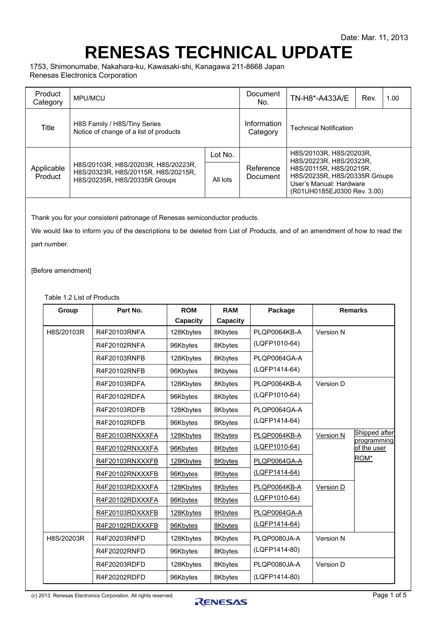## **RENESAS TECHNICAL UPDATE**

1753, Shimonumabe, Nakahara-ku, Kawasaki-shi, Kanagawa 211-8668 Japan Renesas Electronics Corporation

| Product<br>Category   | MPU/MCU                                                                                                     | Document<br>No.         | TN-H8*-A433A/E                | Rev.                                                                                                                                                                     | 1.00 |  |
|-----------------------|-------------------------------------------------------------------------------------------------------------|-------------------------|-------------------------------|--------------------------------------------------------------------------------------------------------------------------------------------------------------------------|------|--|
| Title                 | H8S Family / H8S/Tiny Series<br>Notice of change of a list of products                                      | Information<br>Category | <b>Technical Notification</b> |                                                                                                                                                                          |      |  |
|                       |                                                                                                             | Lot No.                 |                               | H8S/20103R, H8S/20203R,<br>H8S/20223R, H8S/20323R,<br>H8S/20115R, H8S/20215R,<br>H8S/20235R, H8S/20335R Groups<br>User's Manual: Hardware<br>(R01UH0185EJ0300 Rev. 3.00) |      |  |
| Applicable<br>Product | H8S/20103R, H8S/20203R, H8S/20223R,<br>H8S/20323R, H8S/20115R, H8S/20215R,<br>H8S/20235R, H8S/20335R Groups | All lots                | Reference<br>Document         |                                                                                                                                                                          |      |  |

Thank you for your consistent patronage of Renesas semiconductor products.

We would like to inform you of the descriptions to be deleted from List of Products, and of an amendment of how to read the part number.

[Before amendment]

Table 1.2 List of Products

| Group      | Part No.        | <b>ROM</b>      | <b>RAM</b> | Package       | <b>Remarks</b>   |                              |
|------------|-----------------|-----------------|------------|---------------|------------------|------------------------------|
|            |                 | <b>Capacity</b> | Capacity   |               |                  |                              |
| H8S/20103R | R4F20103RNFA    | 128Kbytes       | 8Kbytes    | PLQP0064KB-A  | Version N        |                              |
|            | R4F20102RNFA    | 96Kbytes        | 8Kbytes    | (LQFP1010-64) |                  |                              |
|            | R4F20103RNFB    | 128Kbytes       | 8Kbytes    | PLOP0064GA-A  |                  |                              |
|            | R4F20102RNFB    | 96Kbytes        | 8Kbytes    | (LQFP1414-64) |                  |                              |
|            | R4F20103RDFA    | 128Kbytes       | 8Kbytes    | PLQP0064KB-A  | Version D        |                              |
|            | R4F20102RDFA    | 96Kbytes        | 8Kbytes    | (LQFP1010-64) |                  |                              |
|            | R4F20103RDFB    | 128Kbytes       | 8Kbytes    | PLOP0064GA-A  |                  |                              |
|            | R4F20102RDFB    | 96Kbytes        | 8Kbytes    | (LQFP1414-64) |                  |                              |
|            | R4F20103RNXXXFA | 128Kbytes       | 8Kbytes    | PLQP0064KB-A  | Version N        | Shipped after<br>programming |
|            | R4F20102RNXXXFA | 96Kbytes        | 8Kbytes    | (LQFP1010-64) |                  | of the user                  |
|            | R4F20103RNXXXFB | 128Kbytes       | 8Kbytes    | PLQP0064GA-A  |                  | ROM*                         |
|            | R4F20102RNXXXFB | 96Kbytes        | 8Kbytes    | (LQFP1414-64) |                  |                              |
|            | R4F20103RDXXXFA | 128Kbytes       | 8Kbytes    | PLQP0064KB-A  | <b>Version D</b> |                              |
|            | R4F20102RDXXXFA | 96Kbytes        | 8Kbytes    | (LQFP1010-64) |                  |                              |
|            | R4F20103RDXXXFB | 128Kbytes       | 8Kbytes    | PLQP0064GA-A  |                  |                              |
|            | R4F20102RDXXXFB | 96Kbytes        | 8Kbytes    | (LQFP1414-64) |                  |                              |
| H8S/20203R | R4F20203RNFD    | 128Kbytes       | 8Kbytes    | PLQP0080JA-A  | Version N        |                              |
|            | R4F20202RNFD    | 96Kbytes        | 8Kbytes    | (LQFP1414-80) |                  |                              |
|            | R4F20203RDFD    | 128Kbytes       | 8Kbytes    | PLOP0080JA-A  | Version D        |                              |
|            | R4F20202RDFD    | 96Kbytes        | 8Kbytes    | (LQFP1414-80) |                  |                              |

(c) 2013. Renesas Electronics Corporation. All rights reserved.<br> **Page 1 of 5**<br>
Page 1 of 5

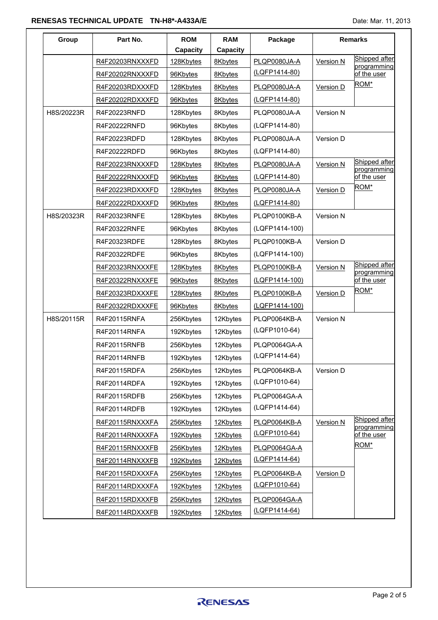## **RENESAS TECHNICAL UPDATE TN-H8\*-A433A/E Date: Mar. 11, 2013** Date: Mar. 11, 2013

| Group      | Part No.        | <b>ROM</b>      | <b>RAM</b>      | Package        |                  | <b>Remarks</b>               |
|------------|-----------------|-----------------|-----------------|----------------|------------------|------------------------------|
|            |                 | <b>Capacity</b> | <b>Capacity</b> |                |                  |                              |
|            | R4F20203RNXXXFD | 128Kbytes       | 8Kbytes         | PLQP0080JA-A   | <b>Version N</b> | Shipped after<br>programming |
|            | R4F20202RNXXXFD | 96Kbytes        | 8Kbytes         | (LQFP1414-80)  |                  | of the user                  |
|            | R4F20203RDXXXFD | 128Kbytes       | 8Kbytes         | PLQP0080JA-A   | Version D        | ROM*                         |
|            | R4F20202RDXXXFD | 96Kbytes        | 8Kbytes         | (LQFP1414-80)  |                  |                              |
| H8S/20223R | R4F20223RNFD    | 128Kbytes       | 8Kbytes         | PLQP0080JA-A   | Version N        |                              |
|            | R4F20222RNFD    | 96Kbytes        | 8Kbytes         | (LQFP1414-80)  |                  |                              |
|            | R4F20223RDFD    | 128Kbytes       | 8Kbytes         | PLQP0080JA-A   | Version D        |                              |
|            | R4F20222RDFD    | 96Kbytes        | 8Kbytes         | (LQFP1414-80)  |                  |                              |
|            | R4F20223RNXXXFD | 128Kbytes       | 8Kbytes         | PLQP0080JA-A   | <b>Version N</b> | Shipped after<br>programming |
|            | R4F20222RNXXXFD | 96Kbytes        | 8Kbytes         | (LQFP1414-80)  |                  | of the user                  |
|            | R4F20223RDXXXFD | 128Kbytes       | 8Kbytes         | PLQP0080JA-A   | Version D        | ROM*                         |
|            | R4F20222RDXXXFD | 96Kbytes        | 8Kbytes         | (LQFP1414-80)  |                  |                              |
| H8S/20323R | R4F20323RNFE    | 128Kbytes       | 8Kbytes         | PLQP0100KB-A   | Version N        |                              |
|            | R4F20322RNFE    | 96Kbytes        | 8Kbytes         | (LQFP1414-100) |                  |                              |
|            | R4F20323RDFE    | 128Kbytes       | 8Kbytes         | PLQP0100KB-A   | Version D        |                              |
|            | R4F20322RDFE    | 96Kbytes        | 8Kbytes         | (LQFP1414-100) |                  |                              |
|            | R4F20323RNXXXFE | 128Kbytes       | 8Kbytes         | PLQP0100KB-A   | <b>Version N</b> | Shipped after<br>programming |
|            | R4F20322RNXXXFE | 96Kbytes        | 8Kbytes         | (LQFP1414-100) |                  | of the user                  |
|            | R4F20323RDXXXFE | 128Kbytes       | 8Kbytes         | PLQP0100KB-A   | Version D        | ROM*                         |
|            | R4F20322RDXXXFE | 96Kbytes        | 8Kbytes         | (LQFP1414-100) |                  |                              |
| H8S/20115R | R4F20115RNFA    | 256Kbytes       | 12Kbytes        | PLQP0064KB-A   | Version N        |                              |
|            | R4F20114RNFA    | 192Kbytes       | 12Kbytes        | (LQFP1010-64)  |                  |                              |
|            | R4F20115RNFB    | 256Kbytes       | 12Kbytes        | PLQP0064GA-A   |                  |                              |
|            | R4F20114RNFB    | 192Kbytes       | 12Kbytes        | (LQFP1414-64)  |                  |                              |
|            | R4F20115RDFA    | 256Kbytes       | 12Kbytes        | PLQP0064KB-A   | Version D        |                              |
|            | R4F20114RDFA    | 192Kbytes       | 12Kbytes        | (LQFP1010-64)  |                  |                              |
|            | R4F20115RDFB    | 256Kbytes       | 12Kbytes        | PLQP0064GA-A   |                  |                              |
|            | R4F20114RDFB    | 192Kbytes       | 12Kbytes        | (LQFP1414-64)  |                  |                              |
|            | R4F20115RNXXXFA | 256Kbytes       | 12Kbytes        | PLQP0064KB-A   | <b>Version N</b> | Shipped after<br>programming |
|            | R4F20114RNXXXFA | 192Kbytes       | 12Kbytes        | (LQFP1010-64)  |                  | of the user                  |
|            | R4F20115RNXXXFB | 256Kbytes       | 12Kbytes        | PLQP0064GA-A   |                  | ROM*                         |
|            | R4F20114RNXXXFB | 192Kbytes       | 12Kbytes        | (LQFP1414-64)  |                  |                              |
|            | R4F20115RDXXXFA | 256Kbytes       | 12Kbytes        | PLQP0064KB-A   | Version D        |                              |
|            | R4F20114RDXXXFA | 192Kbytes       | 12Kbytes        | (LQFP1010-64)  |                  |                              |
|            | R4F20115RDXXXFB | 256Kbytes       | 12Kbytes        | PLQP0064GA-A   |                  |                              |
|            | R4F20114RDXXXFB | 192Kbytes       | 12Kbytes        | (LQFP1414-64)  |                  |                              |

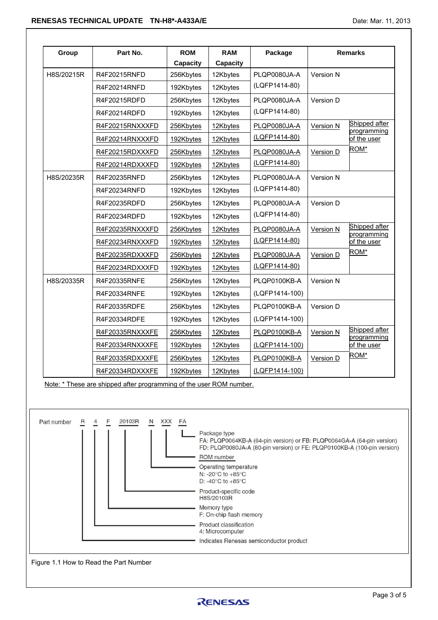| Group       | Part No.                                                            | <b>ROM</b><br><b>Capacity</b> | <b>RAM</b><br>Capacity                                                                                                                                                     | Package                                                                                                                                           |                  | <b>Remarks</b>               |
|-------------|---------------------------------------------------------------------|-------------------------------|----------------------------------------------------------------------------------------------------------------------------------------------------------------------------|---------------------------------------------------------------------------------------------------------------------------------------------------|------------------|------------------------------|
| H8S/20215R  | R4F20215RNFD                                                        | 256Kbytes                     | 12Kbytes                                                                                                                                                                   | PLQP0080JA-A                                                                                                                                      | Version N        |                              |
|             | R4F20214RNFD                                                        | 192Kbytes                     | 12Kbytes                                                                                                                                                                   | (LQFP1414-80)                                                                                                                                     |                  |                              |
|             | R4F20215RDFD                                                        | 256Kbytes                     | 12Kbytes                                                                                                                                                                   | PLQP0080JA-A                                                                                                                                      | Version D        |                              |
|             | R4F20214RDFD                                                        | 192Kbytes                     | 12Kbytes                                                                                                                                                                   | (LQFP1414-80)                                                                                                                                     |                  |                              |
|             | R4F20215RNXXXFD                                                     | 256Kbytes                     | 12Kbytes                                                                                                                                                                   | PLQP0080JA-A                                                                                                                                      | <b>Version N</b> | Shipped after                |
|             | R4F20214RNXXXFD                                                     | 192Kbytes                     | 12Kbytes                                                                                                                                                                   | (LQFP1414-80)                                                                                                                                     |                  | programming<br>of the user   |
|             | R4F20215RDXXXFD                                                     | 256Kbytes                     | 12Kbytes                                                                                                                                                                   | PLQP0080JA-A                                                                                                                                      | Version D        | ROM*                         |
|             | R4F20214RDXXXFD                                                     | 192Kbytes                     | 12Kbytes                                                                                                                                                                   | (LQFP1414-80)                                                                                                                                     |                  |                              |
| H8S/20235R  | R4F20235RNFD                                                        | 256Kbytes                     | 12Kbytes                                                                                                                                                                   | PLQP0080JA-A                                                                                                                                      | Version N        |                              |
|             | R4F20234RNFD                                                        | 192Kbytes                     | 12Kbytes                                                                                                                                                                   | (LQFP1414-80)                                                                                                                                     |                  |                              |
|             | R4F20235RDFD                                                        | 256Kbytes                     | 12Kbytes                                                                                                                                                                   | PLQP0080JA-A                                                                                                                                      | Version D        |                              |
|             | R4F20234RDFD                                                        | 192Kbytes                     | 12Kbytes                                                                                                                                                                   | (LQFP1414-80)                                                                                                                                     |                  |                              |
|             | R4F20235RNXXXFD                                                     | 256Kbytes                     | 12Kbytes                                                                                                                                                                   | PLQP0080JA-A                                                                                                                                      | Version N        | Shipped after<br>programming |
|             | R4F20234RNXXXFD                                                     | 192Kbytes                     | 12Kbytes                                                                                                                                                                   | (LQFP1414-80)                                                                                                                                     |                  | of the user                  |
|             | R4F20235RDXXXFD                                                     | 256Kbytes                     | 12Kbytes                                                                                                                                                                   | PLQP0080JA-A                                                                                                                                      | Version D        | ROM*                         |
|             | R4F20234RDXXXFD                                                     | 192Kbytes                     | 12Kbytes                                                                                                                                                                   | (LQFP1414-80)                                                                                                                                     |                  |                              |
| H8S/20335R  | R4F20335RNFE                                                        | 256Kbytes                     | 12Kbytes                                                                                                                                                                   | PLQP0100KB-A                                                                                                                                      | Version N        |                              |
|             | R4F20334RNFE                                                        | 192Kbytes                     | 12Kbytes                                                                                                                                                                   | (LQFP1414-100)                                                                                                                                    |                  |                              |
|             | R4F20335RDFE                                                        | 256Kbytes                     | 12Kbytes                                                                                                                                                                   | PLQP0100KB-A                                                                                                                                      | Version D        |                              |
|             | R4F20334RDFE                                                        | 192Kbytes                     | 12Kbytes                                                                                                                                                                   | (LQFP1414-100)                                                                                                                                    |                  |                              |
|             | R4F20335RNXXXFE                                                     | 256Kbytes                     | 12Kbytes                                                                                                                                                                   | PLQP0100KB-A                                                                                                                                      | Version N        | Shipped after<br>programming |
|             | R4F20334RNXXXFE                                                     | 192Kbytes                     | 12Kbytes                                                                                                                                                                   | (LQFP1414-100)                                                                                                                                    |                  | of the user                  |
|             | R4F20335RDXXXFE                                                     | 256Kbytes                     | 12Kbytes                                                                                                                                                                   | PLQP0100KB-A                                                                                                                                      | Version D        | ROM*                         |
|             | R4F20334RDXXXFE                                                     | 192Kbytes                     | 12Kbytes                                                                                                                                                                   | (LQFP1414-100)                                                                                                                                    |                  |                              |
|             | Note: * These are shipped after programming of the user ROM number. |                               |                                                                                                                                                                            |                                                                                                                                                   |                  |                              |
| Part number | 20103R                                                              | <b>XXX</b><br>FA              | Package type<br>ROM number<br>Operating temperature<br>N: -20°C to +85°C<br>D: -40 $\mathrm{^{\circ}C}$ to +85 $\mathrm{^{\circ}C}$<br>Product-specific code<br>H8S/20103R | FA: PLQP0064KB-A (64-pin version) or FB: PLQP0064GA-A (64-pin version)<br>FD: PLQP0080JA-A (80-pin version) or FE: PLQP0100KB-A (100-pin version) |                  |                              |



Figure 1.1 How to Read the Part Number

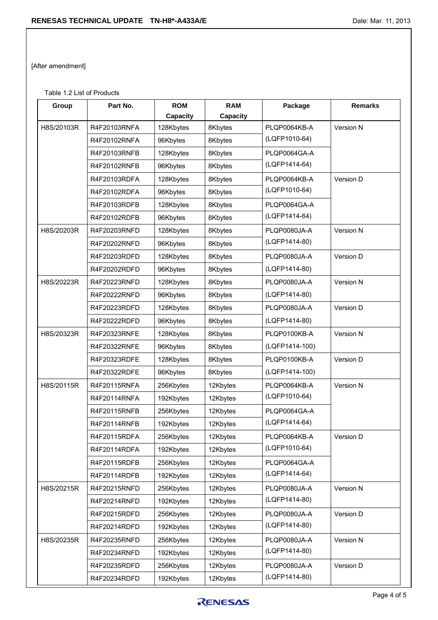[After amendment]

Table 1.2 List of Products

| Group      | Part No.     | <b>ROM</b>      | <b>RAM</b> | Package        | <b>Remarks</b> |
|------------|--------------|-----------------|------------|----------------|----------------|
|            |              | <b>Capacity</b> | Capacity   |                |                |
| H8S/20103R | R4F20103RNFA | 128Kbytes       | 8Kbytes    | PLQP0064KB-A   | Version N      |
|            | R4F20102RNFA | 96Kbytes        | 8Kbytes    | (LQFP1010-64)  |                |
|            | R4F20103RNFB | 128Kbytes       | 8Kbytes    | PLQP0064GA-A   |                |
|            | R4F20102RNFB | 96Kbytes        | 8Kbytes    | (LQFP1414-64)  |                |
|            | R4F20103RDFA | 128Kbytes       | 8Kbytes    | PLQP0064KB-A   | Version D      |
|            | R4F20102RDFA | 96Kbytes        | 8Kbytes    | (LQFP1010-64)  |                |
|            | R4F20103RDFB | 128Kbytes       | 8Kbytes    | PLQP0064GA-A   |                |
|            | R4F20102RDFB | 96Kbytes        | 8Kbytes    | (LQFP1414-64)  |                |
| H8S/20203R | R4F20203RNFD | 128Kbytes       | 8Kbytes    | PLQP0080JA-A   | Version N      |
|            | R4F20202RNFD | 96Kbytes        | 8Kbytes    | (LQFP1414-80)  |                |
|            | R4F20203RDFD | 128Kbytes       | 8Kbytes    | PLQP0080JA-A   | Version D      |
|            | R4F20202RDFD | 96Kbytes        | 8Kbytes    | (LQFP1414-80)  |                |
| H8S/20223R | R4F20223RNFD | 128Kbytes       | 8Kbytes    | PLQP0080JA-A   | Version N      |
|            | R4F20222RNFD | 96Kbytes        | 8Kbytes    | (LQFP1414-80)  |                |
|            | R4F20223RDFD | 128Kbytes       | 8Kbytes    | PLQP0080JA-A   | Version D      |
|            | R4F20222RDFD | 96Kbytes        | 8Kbytes    | (LQFP1414-80)  |                |
| H8S/20323R | R4F20323RNFE | 128Kbytes       | 8Kbytes    | PLQP0100KB-A   | Version N      |
|            | R4F20322RNFE | 96Kbytes        | 8Kbytes    | (LQFP1414-100) |                |
|            | R4F20323RDFE | 128Kbytes       | 8Kbytes    | PLQP0100KB-A   | Version D      |
|            | R4F20322RDFE | 96Kbytes        | 8Kbytes    | (LQFP1414-100) |                |
| H8S/20115R | R4F20115RNFA | 256Kbytes       | 12Kbytes   | PLQP0064KB-A   | Version N      |
|            | R4F20114RNFA | 192Kbytes       | 12Kbytes   | (LQFP1010-64)  |                |
|            | R4F20115RNFB | 256Kbytes       | 12Kbytes   | PLQP0064GA-A   |                |
|            | R4F20114RNFB | 192Kbytes       | 12Kbytes   | (LQFP1414-64)  |                |
|            | R4F20115RDFA | 256Kbytes       | 12Kbytes   | PLQP0064KB-A   | Version D      |
|            | R4F20114RDFA | 192Kbytes       | 12Kbytes   | (LQFP1010-64)  |                |
|            | R4F20115RDFB | 256Kbytes       | 12Kbytes   | PLQP0064GA-A   |                |
|            | R4F20114RDFB | 192Kbytes       | 12Kbytes   | (LQFP1414-64)  |                |
| H8S/20215R | R4F20215RNFD | 256Kbytes       | 12Kbytes   | PLQP0080JA-A   | Version N      |
|            | R4F20214RNFD | 192Kbytes       | 12Kbytes   | (LQFP1414-80)  |                |
|            | R4F20215RDFD | 256Kbytes       | 12Kbytes   | PLQP0080JA-A   | Version D      |
|            | R4F20214RDFD | 192Kbytes       | 12Kbytes   | (LQFP1414-80)  |                |
| H8S/20235R | R4F20235RNFD | 256Kbytes       | 12Kbytes   | PLQP0080JA-A   | Version N      |
|            | R4F20234RNFD | 192Kbytes       | 12Kbytes   | (LQFP1414-80)  |                |
|            | R4F20235RDFD | 256Kbytes       | 12Kbytes   | PLQP0080JA-A   | Version D      |
|            | R4F20234RDFD | 192Kbytes       | 12Kbytes   | (LQFP1414-80)  |                |